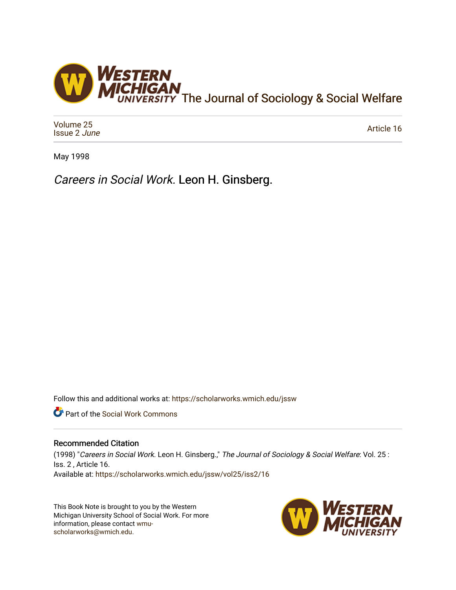

[Volume 25](https://scholarworks.wmich.edu/jssw/vol25) [Issue 2](https://scholarworks.wmich.edu/jssw/vol25/iss2) June

[Article 16](https://scholarworks.wmich.edu/jssw/vol25/iss2/16) 

May 1998

Careers in Social Work. Leon H. Ginsberg.

Follow this and additional works at: [https://scholarworks.wmich.edu/jssw](https://scholarworks.wmich.edu/jssw?utm_source=scholarworks.wmich.edu%2Fjssw%2Fvol25%2Fiss2%2F16&utm_medium=PDF&utm_campaign=PDFCoverPages) 

Part of the [Social Work Commons](http://network.bepress.com/hgg/discipline/713?utm_source=scholarworks.wmich.edu%2Fjssw%2Fvol25%2Fiss2%2F16&utm_medium=PDF&utm_campaign=PDFCoverPages)

## Recommended Citation

(1998) "Careers in Social Work. Leon H. Ginsberg.," The Journal of Sociology & Social Welfare: Vol. 25 : Iss. 2 , Article 16. Available at: [https://scholarworks.wmich.edu/jssw/vol25/iss2/16](https://scholarworks.wmich.edu/jssw/vol25/iss2/16?utm_source=scholarworks.wmich.edu%2Fjssw%2Fvol25%2Fiss2%2F16&utm_medium=PDF&utm_campaign=PDFCoverPages) 

This Book Note is brought to you by the Western Michigan University School of Social Work. For more information, please contact [wmu](mailto:wmu-scholarworks@wmich.edu)[scholarworks@wmich.edu.](mailto:wmu-scholarworks@wmich.edu)